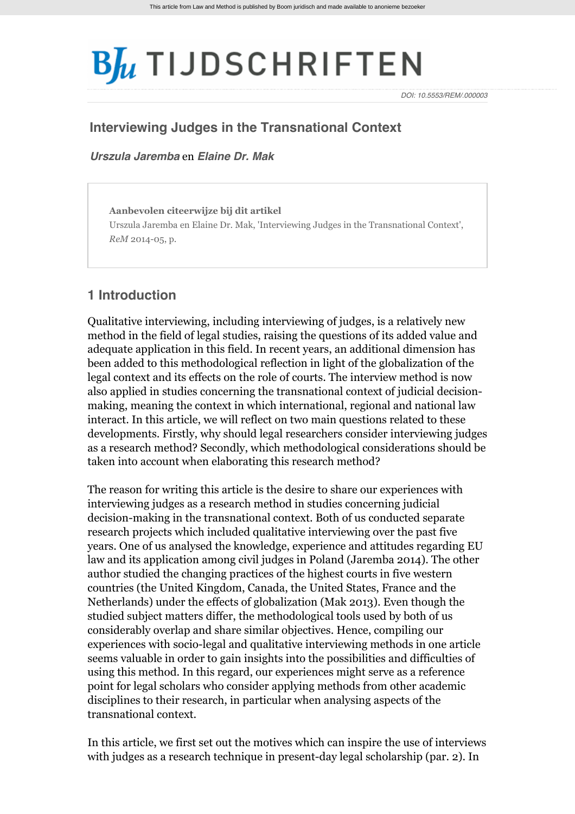# $B_{\mu}$  TIJDSCHRIFTEN

*DOI: 10.5553/REM/.000003*

# **Interviewing Judges in the Transnational Context**

*[Urszula Jaremba](http://www.bjutijdschriften.nl/zoek?search_category=&search_journal_code=&search_text=%40auteur+Jaremba&search_year=)* en *[Elaine Dr. Mak](http://www.bjutijdschriften.nl/zoek?search_category=&search_journal_code=&search_text=%40auteur+Mak&search_year=)*

**Aanbevolen citeerwijze bij dit artikel** Urszula Jaremba en Elaine Dr. Mak, 'Interviewing Judges in the Transnational Context', *ReM* 2014-05, p.

# **1 Introduction**

Qualitative interviewing, including interviewing of judges, is a relatively new method in the field of legal studies, raising the questions of its added value and adequate application in this field. In recent years, an additional dimension has been added to this methodological reflection in light of the globalization of the legal context and its effects on the role of courts. The interview method is now also applied in studies concerning the transnational context of judicial decisionmaking, meaning the context in which international, regional and national law interact. In this article, we will reflect on two main questions related to these developments. Firstly, why should legal researchers consider interviewing judges as a research method? Secondly, which methodological considerations should be taken into account when elaborating this research method?

The reason for writing this article is the desire to share our experiences with interviewing judges as a research method in studies concerning judicial decision-making in the transnational context. Both of us conducted separate research projects which included qualitative interviewing over the past five years. One of us analysed the knowledge, experience and attitudes regarding EU law and its application among civil judges in Poland (Jaremba 2014). The other author studied the changing practices of the highest courts in five western countries (the United Kingdom, Canada, the United States, France and the Netherlands) under the effects of globalization (Mak 2013). Even though the studied subject matters differ, the methodological tools used by both of us considerably overlap and share similar objectives. Hence, compiling our experiences with socio-legal and qualitative interviewing methods in one article seems valuable in order to gain insights into the possibilities and difficulties of using this method. In this regard, our experiences might serve as a reference point for legal scholars who consider applying methods from other academic disciplines to their research, in particular when analysing aspects of the transnational context.

In this article, we first set out the motives which can inspire the use of interviews with judges as a research technique in present-day legal scholarship (par. 2). In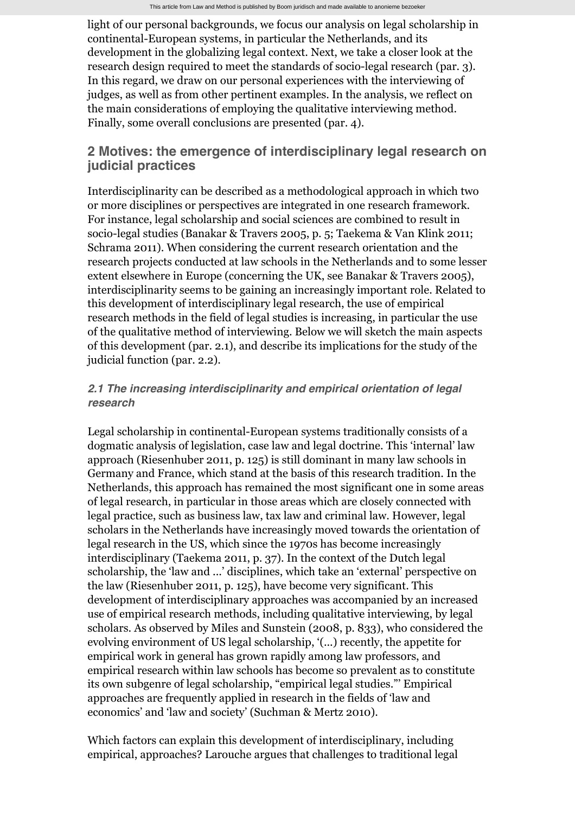light of our personal backgrounds, we focus our analysis on legal scholarship in continental-European systems, in particular the Netherlands, and its development in the globalizing legal context. Next, we take a closer look at the research design required to meet the standards of socio-legal research (par. 3). In this regard, we draw on our personal experiences with the interviewing of judges, as well as from other pertinent examples. In the analysis, we reflect on the main considerations of employing the qualitative interviewing method. Finally, some overall conclusions are presented (par. 4).

# **2 Motives: the emergence of interdisciplinary legal research on judicial practices**

Interdisciplinarity can be described as a methodological approach in which two or more disciplines or perspectives are integrated in one research framework. For instance, legal scholarship and social sciences are combined to result in socio-legal studies (Banakar & Travers 2005, p. 5; Taekema & Van Klink 2011; Schrama 2011). When considering the current research orientation and the research projects conducted at law schools in the Netherlands and to some lesser extent elsewhere in Europe (concerning the UK, see Banakar & Travers 2005), interdisciplinarity seems to be gaining an increasingly important role. Related to this development of interdisciplinary legal research, the use of empirical research methods in the field of legal studies is increasing, in particular the use of the qualitative method of interviewing. Below we will sketch the main aspects of this development (par. 2.1), and describe its implications for the study of the judicial function (par. 2.2).

## *2.1 The increasing interdisciplinarity and empirical orientation of legal research*

Legal scholarship in continental-European systems traditionally consists of a dogmatic analysis of legislation, case law and legal doctrine. This 'internal' law approach (Riesenhuber 2011, p. 125) is still dominant in many law schools in Germany and France, which stand at the basis of this research tradition. In the Netherlands, this approach has remained the most significant one in some areas of legal research, in particular in those areas which are closely connected with legal practice, such as business law, tax law and criminal law. However, legal scholars in the Netherlands have increasingly moved towards the orientation of legal research in the US, which since the 1970s has become increasingly interdisciplinary (Taekema 2011, p. 37). In the context of the Dutch legal scholarship, the 'law and ...' disciplines, which take an 'external' perspective on the law (Riesenhuber 2011, p. 125), have become very significant. This development of interdisciplinary approaches was accompanied by an increased use of empirical research methods, including qualitative interviewing, by legal scholars. As observed by Miles and Sunstein (2008, p. 833), who considered the evolving environment of US legal scholarship, '(...) recently, the appetite for empirical work in general has grown rapidly among law professors, and empirical research within law schools has become so prevalent as to constitute its own subgenre of legal scholarship, "empirical legal studies."' Empirical approaches are frequently applied in research in the fields of 'law and economics' and 'law and society' (Suchman & Mertz 2010).

Which factors can explain this development of interdisciplinary, including empirical, approaches? Larouche argues that challenges to traditional legal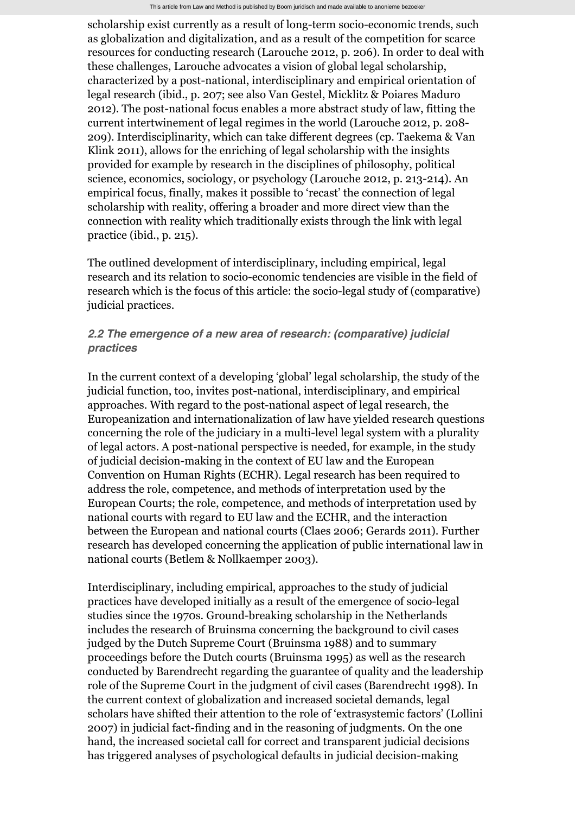scholarship exist currently as a result of long-term socio-economic trends, such as globalization and digitalization, and as a result of the competition for scarce resources for conducting research (Larouche 2012, p. 206). In order to deal with these challenges, Larouche advocates a vision of global legal scholarship, characterized by a post-national, interdisciplinary and empirical orientation of legal research (ibid., p. 207; see also Van Gestel, Micklitz & Poiares Maduro 2012). The post-national focus enables a more abstract study of law, fitting the current intertwinement of legal regimes in the world (Larouche 2012, p. 208- 209). Interdisciplinarity, which can take different degrees (cp. Taekema & Van Klink 2011), allows for the enriching of legal scholarship with the insights provided for example by research in the disciplines of philosophy, political science, economics, sociology, or psychology (Larouche 2012, p. 213-214). An empirical focus, finally, makes it possible to 'recast' the connection of legal scholarship with reality, offering a broader and more direct view than the connection with reality which traditionally exists through the link with legal practice (ibid., p. 215).

The outlined development of interdisciplinary, including empirical, legal research and its relation to socio-economic tendencies are visible in the field of research which is the focus of this article: the socio-legal study of (comparative) judicial practices.

## *2.2 The emergence of a new area of research: (comparative) judicial practices*

In the current context of a developing 'global' legal scholarship, the study of the judicial function, too, invites post-national, interdisciplinary, and empirical approaches. With regard to the post-national aspect of legal research, the Europeanization and internationalization of law have yielded research questions concerning the role of the judiciary in a multi-level legal system with a plurality of legal actors. A post-national perspective is needed, for example, in the study of judicial decision-making in the context of EU law and the European Convention on Human Rights (ECHR). Legal research has been required to address the role, competence, and methods of interpretation used by the European Courts; the role, competence, and methods of interpretation used by national courts with regard to EU law and the ECHR, and the interaction between the European and national courts (Claes 2006; Gerards 2011). Further research has developed concerning the application of public international law in national courts (Betlem & Nollkaemper 2003).

Interdisciplinary, including empirical, approaches to the study of judicial practices have developed initially as a result of the emergence of socio-legal studies since the 1970s. Ground-breaking scholarship in the Netherlands includes the research of Bruinsma concerning the background to civil cases judged by the Dutch Supreme Court (Bruinsma 1988) and to summary proceedings before the Dutch courts (Bruinsma 1995) as well as the research conducted by Barendrecht regarding the guarantee of quality and the leadership role of the Supreme Court in the judgment of civil cases (Barendrecht 1998). In the current context of globalization and increased societal demands, legal scholars have shifted their attention to the role of 'extrasystemic factors' (Lollini 2007) in judicial fact-finding and in the reasoning of judgments. On the one hand, the increased societal call for correct and transparent judicial decisions has triggered analyses of psychological defaults in judicial decision-making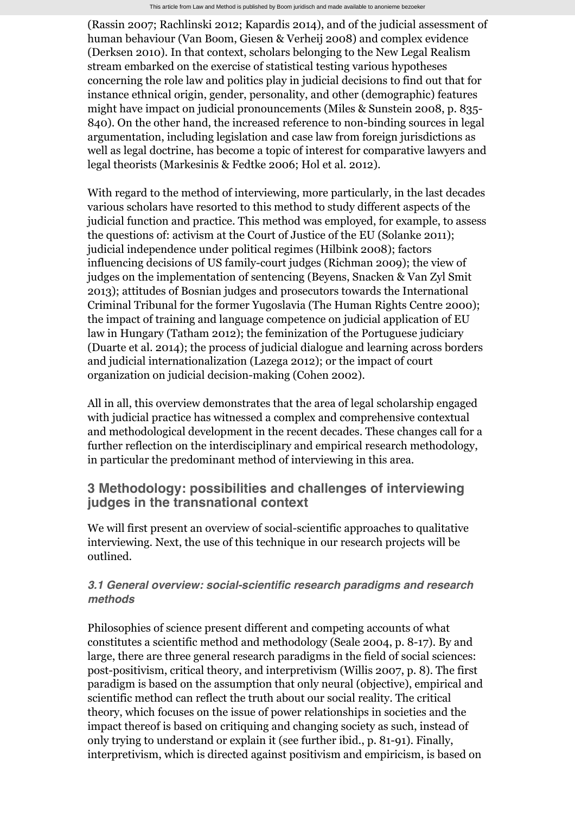(Rassin 2007; Rachlinski 2012; Kapardis 2014), and of the judicial assessment of human behaviour (Van Boom, Giesen & Verheij 2008) and complex evidence (Derksen 2010). In that context, scholars belonging to the New Legal Realism stream embarked on the exercise of statistical testing various hypotheses concerning the role law and politics play in judicial decisions to find out that for instance ethnical origin, gender, personality, and other (demographic) features might have impact on judicial pronouncements (Miles & Sunstein 2008, p. 835- 840). On the other hand, the increased reference to non-binding sources in legal argumentation, including legislation and case law from foreign jurisdictions as well as legal doctrine, has become a topic of interest for comparative lawyers and legal theorists (Markesinis & Fedtke 2006; Hol et al. 2012).

With regard to the method of interviewing, more particularly, in the last decades various scholars have resorted to this method to study different aspects of the judicial function and practice. This method was employed, for example, to assess the questions of: activism at the Court of Justice of the EU (Solanke 2011); judicial independence under political regimes (Hilbink 2008); factors influencing decisions of US family-court judges (Richman 2009); the view of judges on the implementation of sentencing (Beyens, Snacken & Van Zyl Smit 2013); attitudes of Bosnian judges and prosecutors towards the International Criminal Tribunal for the former Yugoslavia (The Human Rights Centre 2000); the impact of training and language competence on judicial application of EU law in Hungary (Tatham 2012); the feminization of the Portuguese judiciary (Duarte et al. 2014); the process of judicial dialogue and learning across borders and judicial internationalization (Lazega 2012); or the impact of court organization on judicial decision-making (Cohen 2002).

All in all, this overview demonstrates that the area of legal scholarship engaged with judicial practice has witnessed a complex and comprehensive contextual and methodological development in the recent decades. These changes call for a further reflection on the interdisciplinary and empirical research methodology, in particular the predominant method of interviewing in this area.

# **3 Methodology: possibilities and challenges of interviewing judges in the transnational context**

We will first present an overview of social-scientific approaches to qualitative interviewing. Next, the use of this technique in our research projects will be outlined.

# *3.1 General overview: social-scientific research paradigms and research methods*

Philosophies of science present different and competing accounts of what constitutes a scientific method and methodology (Seale 2004, p. 8-17). By and large, there are three general research paradigms in the field of social sciences: post-positivism, critical theory, and interpretivism (Willis 2007, p. 8). The first paradigm is based on the assumption that only neural (objective), empirical and scientific method can reflect the truth about our social reality. The critical theory, which focuses on the issue of power relationships in societies and the impact thereof is based on critiquing and changin[g society](http://www.bjutijdschriften.nl/tijdschrift/rem/2014/05/RENM-D-13-00002) as such, instead of only trying to understand or explain it (see further ibid., p. 81-91). Finally, interpretivism, which is directed against positivism and empiricism, is based on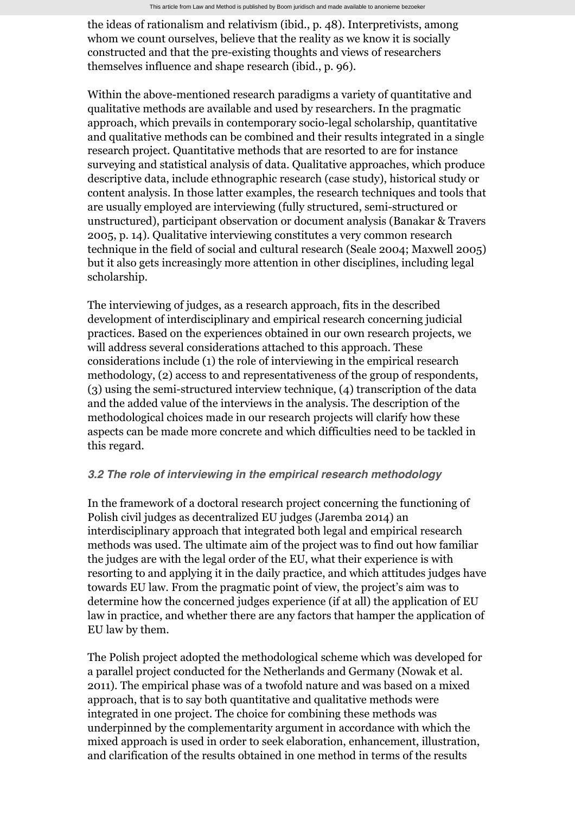the ideas of rationalism and relativism (ibid., p. 48). Interpretivists, among whom we count ourselves, believe that the reality as we know it is socially constructed and that the pre-existing thoughts and views of researchers themselves influence and shape research (ibid., p. 96).

Within the above-mentioned research paradigms a variety of quantitative and qualitative methods are available and used by researchers. In the pragmatic approach, which prevails in contemporary socio-legal scholarship, quantitative and qualitative methods can be combined and their results integrated in a single research project. Quantitative methods that are resorted to are for instance surveying and statistical analysis of data. Qualitative approaches, which produce descriptive data, include ethnographic research (case study), historical study or content analysis. In those latter examples, the research techniques and tools that are usually employed are interviewing (fully structured, semi-structured or unstructured), participant observation or document analysis (Banakar & Travers 2005, p. 14). Qualitative interviewing constitutes a very common research technique in the field of social and cultural research (Seale 2004; Maxwell 2005) but it also gets increasingly more attention in other disciplines, including legal scholarship.

The interviewing of judges, as a research approach, fits in the described development of interdisciplinary and empirical research concerning judicial practices. Based on the experiences obtained in our own research projects, we will address several considerations attached to this approach. These considerations include (1) the role of interviewing in the empirical research methodology, (2) access to and representativeness of the group of respondents, (3) using the semi-structured interview technique, (4) transcription of the data and the added value of the interviews in the analysis. The description of the methodological choices made in our research projects will clarify how these aspects can be made more concrete and which difficulties need to be tackled in this regard.

#### *3.2 The role of interviewing in the empirical research methodology*

In the framework of a doctoral research project concerning the functioning of Polish civil judges as decentralized EU judges (Jaremba 2014) an interdisciplinary approach that integrated both legal and empirical research methods was used. The ultimate aim of the project was to find out how familiar the judges are with the legal order of the EU, what their experience is with resorting to and applying it in the daily practice, and which attitudes judges have towards EU law. From the pragmatic point of view, the project's aim was to determine how the concerned judges experience (if at all) the application of EU law in practice, and whether there are any factors that hamper the application of EU law by them.

The Polish project adopted the methodological scheme which was developed for a parallel project conducted for the Netherlands and Germany (Nowak et al. 2011). The empirical phase was of a twofold nature and was based on a mixed approach, that is to say both quantitative and qualitative methods were integrated in one project. The choice for combining these methods was underpinned by the complementarity argument in accordance with which the mixed approach is used in order to seek elaboration, enhancement, illustration, and clarification of the results obtained in one method in terms of the results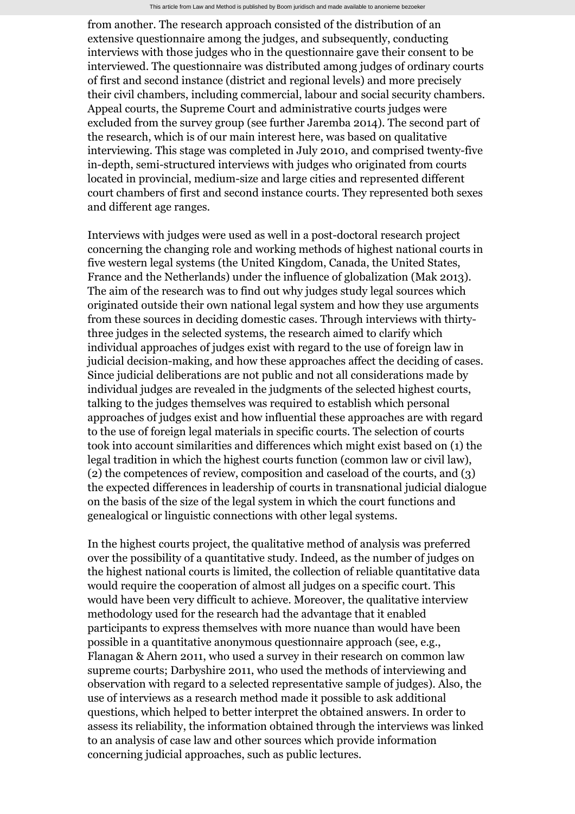from another. The research approach consisted of the distribution of an extensive questionnaire among the judges, and subsequently, conducting interviews with those judges who in the questionnaire gave their consent to be interviewed. The questionnaire was distributed among judges of ordinary courts of first and second instance (district and regional levels) and more precisely their civil chambers, including commercial, labour and social security chambers. Appeal courts, the Supreme Court and administrative courts judges were excluded from the survey group (see further Jaremba 2014). The second part of the research, which is of our main interest here, was based on qualitative interviewing. This stage was completed in July 2010, and comprised twenty-five in-depth, semi-structured interviews with judges who originated from courts located in provincial, medium-size and large cities and represented different court chambers of first and second instance courts. They represented both sexes and different age ranges.

Interviews with judges were used as well in a post-doctoral research project concerning the changing role and working methods of highest national courts in five western legal systems (the United Kingdom, Canada, the United States, France and the Netherlands) under the influence of globalization (Mak 2013). The aim of the research was to find out why judges study legal sources which originated outside their own national legal system and how they use arguments from these sources in deciding domestic cases. Through interviews with thirtythree judges in the selected systems, the research aimed to clarify which individual approaches of judges exist with regard to the use of foreign law in judicial decision-making, and how these approaches affect the deciding of cases. Since judicial deliberations are not public and not all considerations made by individual judges are revealed in the judgments of the selected highest courts, talking to the judges themselves was required to establish which personal approaches of judges exist and how influential these approaches are with regard to the use of foreign legal materials in specific courts. The selection of courts took into account similarities and differences which might exist based on (1) the legal tradition in which the highest courts function (common law or civil law), (2) the competences of review, composition and caseload of the courts, and (3) the expected differences in leadership of courts in transnational judicial dialogue on the basis of the size of the legal system in which the court functions and genealogical or linguistic connections with other legal systems.

In the highest courts project, the qualitative method of analysis was preferred over the possibility of a quantitative study. Indeed, as the number of judges on the highest national courts is limited, the collection of reliable quantitative data would require the cooperation of almost all judges on a specific court. This would have been very difficult to achieve. Moreover, the qualitative interview methodology used for the research had the advantage that it enabled participants to express themselves with more nuance than would have been possible in a quantitative anonymous questionnaire approach (see, e.g., Flanagan & Ahern 2011, who used a survey in their research on common law supreme courts; Darbyshire 2011, who used the methods of interviewing and observation with regard to a selected representative sample of judges). Also, the use of interviews as a research method made it possible to ask additional questions, which helped to better interpret the obtained answers. In order to assess its reliability, the information obtained through the interviews was linked to an analysis of case law and other sources which provide information concerning judicial approaches, such as public lectures.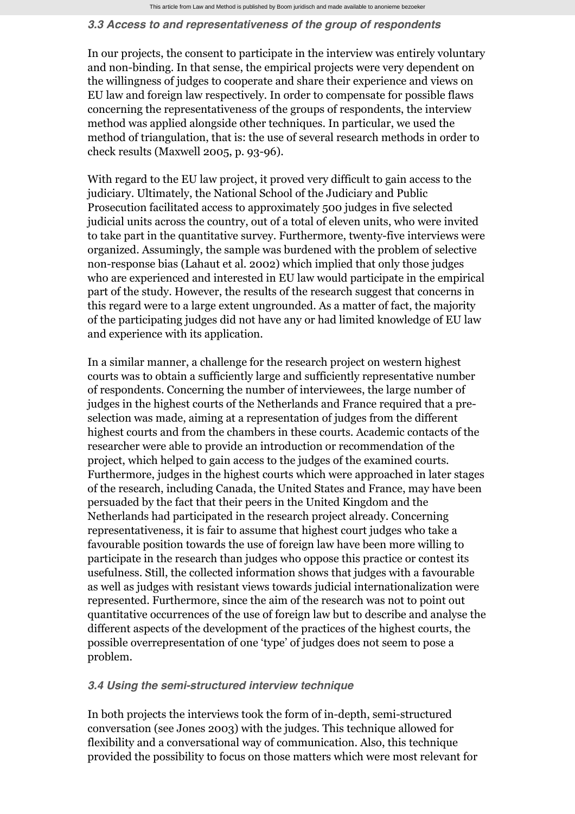#### *3.3 Access to and representativeness of the group of respondents*

In our projects, the consent to participate in the interview was entirely voluntary and non-binding. In that sense, the empirical projects were very dependent on the willingness of judges to cooperate and share their experience and views on EU law and foreign law respectively. In order to compensate for possible flaws concerning the representativeness of the groups of respondents, the interview method was applied alongside other techniques. In particular, we used the method of triangulation, that is: the use of several research methods in order to check results (Maxwell 2005, p. 93-96).

With regard to the EU law project, it proved very difficult to gain access to the judiciary. Ultimately, the National School of the Judiciary and Public Prosecution facilitated access to approximately 500 judges in five selected judicial units across the country, out of a total of eleven units, who were invited to take part in the quantitative survey. Furthermore, twenty-five interviews were organized. Assumingly, the sample was burdened with the problem of selective non-response bias (Lahaut et al. 2002) which implied that only those judges who are experienced and interested in EU law would participate in the empirical part of the study. However, the results of the research suggest that concerns in this regard were to a large extent ungrounded. As a matter of fact, the majority of the participating judges did not have any or had limited knowledge of EU law and experience with its application.

In a similar manner, a challenge for the research project on western highest courts was to obtain a sufficiently large and sufficiently representative number of respondents. Concerning the number of interviewees, the large number of judges in the highest courts of the Netherlands and France required that a preselection was made, aiming at a representation of judges from the different highest courts and from the chambers in these courts. Academic contacts of the researcher were able to provide an introduction or recommendation of the project, which helped to gain access to the judges of the examined courts. Furthermore, judges in the highest courts which were approached in later stages of the research, including Canada, the United States and France, may have been persuaded by the fact that their peers in the United Kingdom and the Netherlands had participated in the research project already. Concerning representativeness, it is fair to assume that highest court judges who take a favourable position towards the use of foreign law have been more willing to participate in the research than judges who oppose this practice or contest its usefulness. Still, the collected information shows that judges with a favourable as well as judges with resistant views towards judicial internationalization were represented. Furthermore, since the aim of the research was not to point out quantitative occurrences of the use of foreign law but to describe and analyse the different aspects of the development of the practices of the highest courts, the possible overrepresentation of one 'type' of judges does not seem to pose a problem.

#### *3.4 Using the semi-structured interview technique*

In both projects the interviews took the form of in-depth, semi-structured conversation (see Jones 2003) with the judges. This technique allowed for flexibility and a conversational way of communication. Also, this technique provided the possibility to focus on those matters which were most relevant for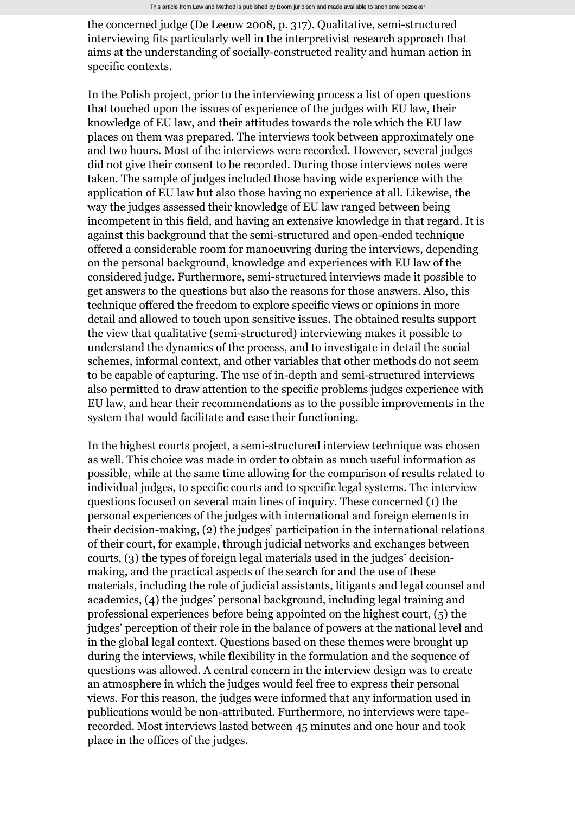the concerned judge (De Leeuw 2008, p. 317). Qualitative, semi-structured interviewing fits particularly well in the interpretivist research approach that aims at the understanding of socially-constructed reality and human action in specific contexts.

In the Polish project, prior to the interviewing process a list of open questions that touched upon the issues of experience of the judges with EU law, their knowledge of EU law, and their attitudes towards the role which the EU law places on them was prepared. The interviews took between approximately one and two hours. Most of the interviews were recorded. However, several judges did not give their consent to be recorded. During those interviews notes were taken. The sample of judges included those having wide experience with the application of EU law but also those having no experience at all. Likewise, the way the judges assessed their knowledge of EU law ranged between being incompetent in this field, and having an extensive knowledge in that regard. It is against this background that the semi-structured and open-ended technique offered a considerable room for manoeuvring during the interviews, depending on the personal background, knowledge and experiences with EU law of the considered judge. Furthermore, semi-structured interviews made it possible to get answers to the questions but also the reasons for those answers. Also, this technique offered the freedom to explore specific views or opinions in more detail and allowed to touch upon sensitive issues. The obtained results support the view that qualitative (semi-structured) interviewing makes it possible to understand the dynamics of the process, and to investigate in detail the social schemes, informal context, and other variables that other methods do not seem to be capable of capturing. The use of in-depth and semi-structured interviews also permitted to draw attention to the specific problems judges experience with EU law, and hear their recommendations as to the possible improvements in the system that would facilitate and ease their functioning.

In the highest courts project, a semi-structured interview technique was chosen as well. This choice was made in order to obtain as much useful information as possible, while at the same time allowing for the comparison of results related to individual judges, to specific courts and to specific legal systems. The interview questions focused on several main lines of inquiry. These concerned (1) the personal experiences of the judges with international and foreign elements in their decision-making, (2) the judges' participation in the international relations of their court, for example, through judicial networks and exchanges between courts, (3) the types of foreign legal materials used in the judges' decisionmaking, and the practical aspects of the search for and the use of these materials, including the role of judicial assistants, litigants and legal counsel and academics, (4) the judges' personal background, including legal training and professional experiences before being appointed on the highest court, (5) the judges' perception of their role in the balance of powers at the national level and in the global legal context. Questions based on these themes were brought up during the interviews, while flexibility in the formulation and the sequence of questions was allowed. A central concern in the interview design was to create an atmosphere in which the judges would feel free to express their personal views. For this reason, the judges were informed that any information used in publications would be non-attributed. Furthermore, no interviews were taperecorded. Most interviews lasted between 45 minutes and one hour and took place in the offices of the judges.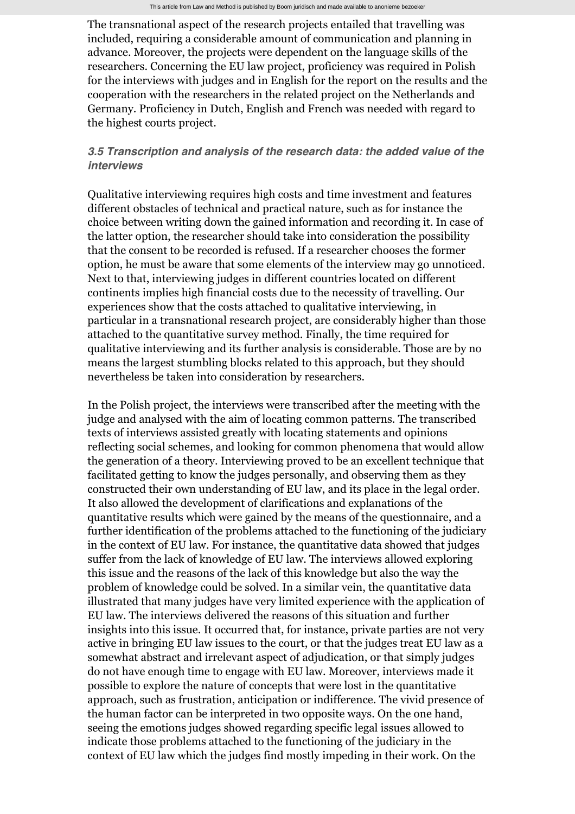The transnational aspect of the research projects entailed that travelling was included, requiring a considerable amount of communication and planning in advance. Moreover, the projects were dependent on the language skills of the researchers. Concerning the EU law project, proficiency was required in Polish for the interviews with judges and in English for the report on the results and the cooperation with the researchers in the related project on the Netherlands and Germany. Proficiency in Dutch, English and French was needed with regard to the highest courts project.

## *3.5 Transcription and analysis of the research data: the added value of the interviews*

Qualitative interviewing requires high costs and time investment and features different obstacles of technical and practical nature, such as for instance the choice between writing down the gained information and recording it. In case of the latter option, the researcher should take into consideration the possibility that the consent to be recorded is refused. If a researcher chooses the former option, he must be aware that some elements of the interview may go unnoticed. Next to that, interviewing judges in different countries located on different continents implies high financial costs due to the necessity of travelling. Our experiences show that the costs attached to qualitative interviewing, in particular in a transnational research project, are considerably higher than those attached to the quantitative survey method. Finally, the time required for qualitative interviewing and its further analysis is considerable. Those are by no means the largest stumbling blocks related to this approach, but they should nevertheless be taken into consideration by researchers.

In the Polish project, the interviews were transcribed after the meeting with the judge and analysed with the aim of locating common patterns. The transcribed texts of interviews assisted greatly with locating statements and opinions reflecting social schemes, and looking for common phenomena that would allow the generation of a theory. Interviewing proved to be an excellent technique that facilitated getting to know the judges personally, and observing them as they constructed their own understanding of EU law, and its place in the legal order. It also allowed the development of clarifications and explanations of the quantitative results which were gained by the means of the questionnaire, and a further identification of the problems attached to the functioning of the judiciary in the context of EU law. For instance, the quantitative data showed that judges suffer from the lack of knowledge of EU law. The interviews allowed exploring this issue and the reasons of the lack of this knowledge but also the way the problem of knowledge could be solved. In a similar vein, the quantitative data illustrated that many judges have very limited experience with the application of EU law. The interviews delivered the reasons of this situation and further insights into this issue. It occurred that, for instance, private parties are not very active in bringing EU law issues to the court, or that the judges treat EU law as a somewhat abstract and irrelevant aspect of adjudication, or that simply judges do not have enough time to engage with EU law. Moreover, interviews made it possible to explore the nature of concepts that were lost in the quantitative approach, such as frustration, anticipation or indifference. The vivid presence of the human factor can be interpreted in two opposite ways. On the one hand, seeing the emotions judges showed regarding specific legal issues allowed to indicate those problems attached to the functioning of the judiciary in the context of EU law which the judges find mostly impeding in their work. On the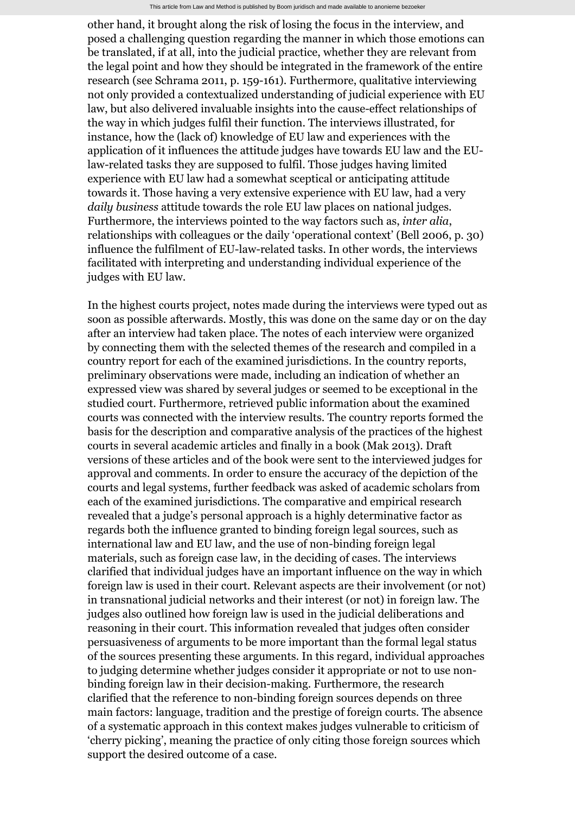other hand, it brought along the risk of losing the focus in the interview, and posed a challenging question regarding the manner in which those emotions can be translated, if at all, into the judicial practice, whether they are relevant from the legal point and how they should be integrated in the framework of the entire research (see Schrama 2011, p. 159-161). Furthermore, qualitative interviewing not only provided a contextualized understanding of judicial experience with EU law, but also delivered invaluable insights into the cause-effect relationships of the way in which judges fulfil their function. The interviews illustrated, for instance, how the (lack of) knowledge of EU law and experiences with the application of it influences the attitude judges have towards EU law and the EUlaw-related tasks they are supposed to fulfil. Those judges having limited experience with EU law had a somewhat sceptical or anticipating attitude towards it. Those having a very extensive experience with EU law, had a very *daily business* attitude towards the role EU law places on national judges. Furthermore, the interviews pointed to the way factors such as, *inter alia*, relationships with colleagues or the daily 'operational context' (Bell 2006, p. 30) influence the fulfilment of EU-law-related tasks. In other words, the interviews facilitated with interpreting and understanding individual experience of the judges with EU law.

In the highest courts project, notes made during the interviews were typed out as soon as possible afterwards. Mostly, this was done on the same day or on the day after an interview had taken place. The notes of each interview were organized by connecting them with the selected themes of the research and compiled in a country report for each of the examined jurisdictions. In the country reports, preliminary observations were made, including an indication of whether an expressed view was shared by several judges or seemed to be exceptional in the studied court. Furthermore, retrieved public information about the examined courts was connected with the interview results. The country reports formed the basis for the description and comparative analysis of the practices of the highest courts in several academic articles and finally in a book (Mak 2013). Draft versions of these articles and of the book were sent to the interviewed judges for approval and comments. In order to ensure the accuracy of the depiction of the courts and legal systems, further feedback was asked of academic scholars from each of the examined jurisdictions. The comparative and empirical research revealed that a judge's personal approach is a highly determinative factor as regards both the influence granted to binding foreign legal sources, such as international law and EU law, and the use of non-binding foreign legal materials, such as foreign case law, in the deciding of cases. The interviews clarified that individual judges have an important influence on the way in which foreign law is used in their court. Relevant aspects are their involvement (or not) in transnational judicial networks and their interest (or not) in foreign law. The judges also outlined how foreign law is used in the judicial deliberations and reasoning in their court. This information revealed that judges often consider persuasiveness of arguments to be more important than the formal legal status of the sources presenting these arguments. In this regard, individual approaches to judging determine whether judges consider it appropriate or not to use nonbinding foreign law in their decision-making. Furthermore, the research clarified that the reference to non-binding foreign sources depends on three main factors: language, tradition and the prestige of foreign courts. The absence of a systematic approach in this context makes judges vulnerable to criticism of 'cherry picking', meaning the practice of only citing those foreign sources which support the desired outcome of a case.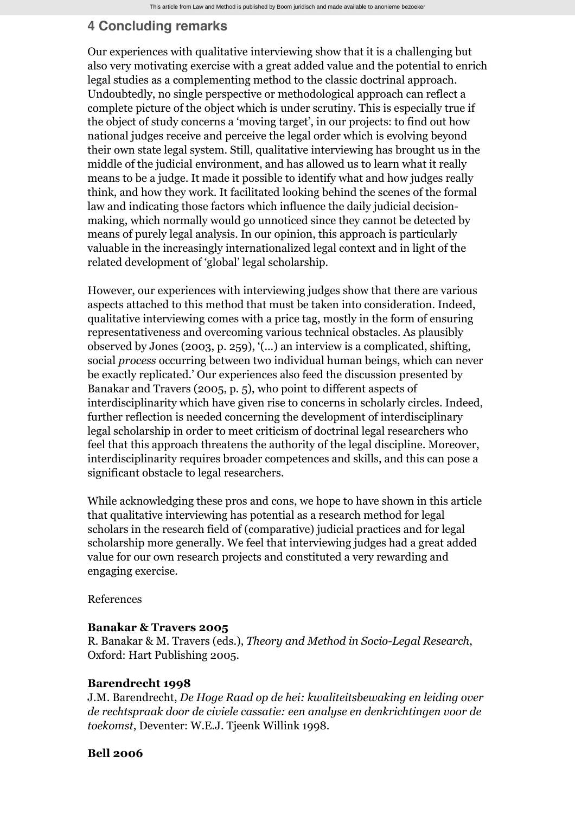# **4 Concluding remarks**

Our experiences with qualitative interviewing show that it is a challenging but also very motivating exercise with a great added value and the potential to enrich legal studies as a complementing method to the classic doctrinal approach. Undoubtedly, no single perspective or methodological approach can reflect a complete picture of the object which is under scrutiny. This is especially true if the object of study concerns a 'moving target', in our projects: to find out how national judges receive and perceive the legal order which is evolving beyond their own state legal system. Still, qualitative interviewing has brought us in the middle of the judicial environment, and has allowed us to learn what it really means to be a judge. It made it possible to identify what and how judges really think, and how they work. It facilitated looking behind the scenes of the formal law and indicating those factors which influence the daily judicial decisionmaking, which normally would go unnoticed since they cannot be detected by means of purely legal analysis. In our opinion, this approach is particularly valuable in the increasingly internationalized legal context and in light of the related development of 'global' legal scholarship.

However, our experiences with interviewing judges show that there are various aspects attached to this method that must be taken into consideration. Indeed, qualitative interviewing comes with a price tag, mostly in the form of ensuring representativeness and overcoming various technical obstacles. As plausibly observed by Jones (2003, p. 259), '(...) an interview is a complicated, shifting, social *process* occurring between two individual human beings, which can never be exactly replicated.' Our experiences also feed the discussion presented by Banakar and Travers (2005, p. 5), who point to different aspects of interdisciplinarity which have given rise to concerns in scholarly circles. Indeed, further reflection is needed concerning the development of interdisciplinary legal scholarship in order to meet criticism of doctrinal legal researchers who feel that this approach threatens the authority of the legal discipline. Moreover, interdisciplinarity requires broader competences and skills, and this can pose a significant obstacle to legal researchers.

While acknowledging these pros and cons, we hope to have shown in this article that qualitative interviewing has potential as a research method for legal scholars in the research field of (comparative) judicial practices and for legal scholarship more generally. We feel that interviewing judges had a great added value for our own research projects and constituted a very rewarding and engaging exercise.

References

## **Banakar & Travers 2005**

R. Banakar & M. Travers (eds.), *Theory and Method in Socio-Legal Research*, Oxford: Hart Publishing 2005.

#### **Barendrecht 1998**

J.M. Barendrecht, *De Hoge Raad op de hei: kwaliteitsbewaking en leiding over de rechtspraak door de civiele cassatie: een analyse en denkrichtingen voor de toekomst*, Deventer: W.E.J. Tjeenk Willink 1998.

## **Bell 2006**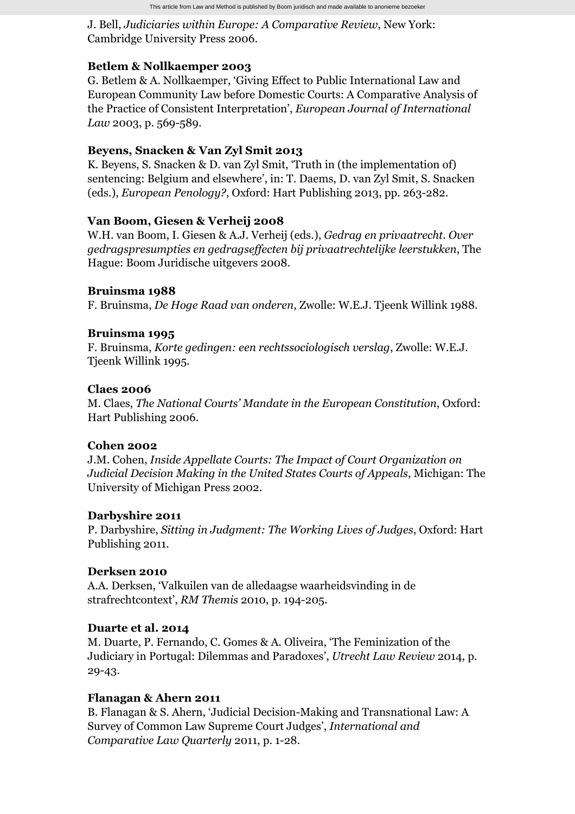J. Bell, *Judiciaries within Europe: A Comparative Review*, New York: Cambridge University Press 2006.

## **Betlem & Nollkaemper 2003**

G. Betlem & A. Nollkaemper, 'Giving Effect to Public International Law and European Community Law before Domestic Courts: A Comparative Analysis of the Practice of Consistent Interpretation', *European Journal of International Law* 2003, p. 569-589.

## **Beyens, Snacken & Van Zyl Smit 2013**

K. Beyens, S. Snacken & D. van Zyl Smit, 'Truth in (the implementation of) sentencing: Belgium and elsewhere', in: T. Daems, D. van Zyl Smit, S. Snacken (eds.), *European Penology?*, Oxford: Hart Publishing 2013, pp. 263-282.

## **Van Boom, Giesen & Verheij 2008**

W.H. van Boom, I. Giesen & A.J. Verheij (eds.), *Gedrag en privaatrecht. Over gedragspresumpties en gedragseffecten bij privaatrechtelijke leerstukken*, The Hague: Boom Juridische uitgevers 2008.

## **Bruinsma 1988**

F. Bruinsma, *De Hoge Raad van onderen*, Zwolle: W.E.J. Tjeenk Willink 1988.

## **Bruinsma 1995**

F. Bruinsma, *Korte gedingen: een rechtssociologisch verslag*, Zwolle: W.E.J. Tjeenk Willink 1995.

#### **Claes 2006**

M. Claes, *The National Courts' Mandate in the European Constitution*, Oxford: Hart Publishing 2006.

## **Cohen 2002**

J.M. Cohen, *Inside Appellate Courts: The Impact of Court Organization on Judicial Decision Making in the United States Courts of Appeals*, Michigan: The University of Michigan Press 2002.

## **Darbyshire 2011**

P. Darbyshire, *Sitting in Judgment: The Working Lives of Judges*, Oxford: Hart Publishing 2011.

## **Derksen 2010**

A.A. Derksen, 'Valkuilen van de alledaagse waarheidsvinding in de strafrechtcontext', *RM Themis* 2010, p. 194-205.

## **Duarte et al. 2014**

M. Duarte, P. Fernando, C. Gomes & A. Oliveira, 'The Feminization of the Judiciary in Portugal: Dilemmas and Paradoxes', *Utrecht Law Review* 2014, p. 29-43.

## **Flanagan & Ahern 2011**

B. Flanagan & S. Ahern, 'Judicial Decision-Making and Transnational Law: A Survey of Common Law Supreme Court Judges', *International and Comparative Law Quarterly* 2011, p. 1-28.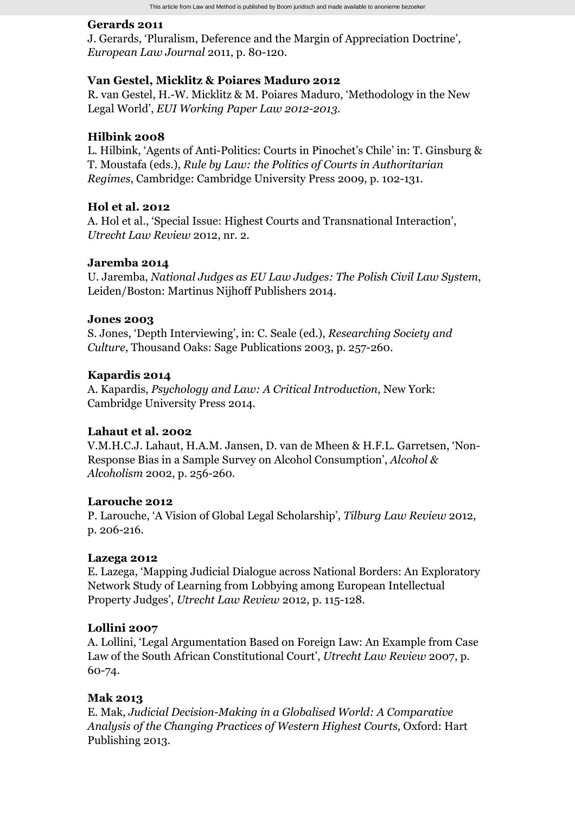#### **Gerards 2011**

J. Gerards, 'Pluralism, Deference and the Margin of Appreciation Doctrine', *European Law Journal* 2011, p. 80-120.

## **Van Gestel, Micklitz & Poiares Maduro 2012**

R. van Gestel, H.-W. Micklitz & M. Poiares Maduro, 'Methodology in the New Legal World', *EUI Working Paper Law 2012-2013*.

#### **Hilbink 2008**

L. Hilbink, 'Agents of Anti-Politics: Courts in Pinochet's Chile' in: T. Ginsburg & T. Moustafa (eds.), *Rule by Law: the Politics of Courts in Authoritarian Regimes*, Cambridge: Cambridge University Press 2009, p. 102-131.

## **Hol et al. 2012**

A. Hol et al., 'Special Issue: Highest Courts and Transnational Interaction', *Utrecht Law Review* 2012, nr. 2.

## **Jaremba 2014**

U. Jaremba, *National Judges as EU Law Judges: The Polish Civil Law System*, Leiden/Boston: Martinus Nijhoff Publishers 2014.

#### **Jones 2003**

S. Jones, 'Depth Interviewing', in: C. Seale (ed.), *Researching Society and Culture*, Thousand Oaks: Sage Publications 2003, p. 257-260.

#### **Kapardis 2014**

A. Kapardis, *Psychology and Law: A Critical Introduction*, New York: Cambridge University Press 2014.

## **Lahaut et al. 2002**

V.M.H.C.J. Lahaut, H.A.M. Jansen, D. van de Mheen & H.F.L. Garretsen, 'Non-Response Bias in a Sample Survey on Alcohol Consumption', *Alcohol & Alcoholism* 2002, p. 256-260.

## **Larouche 2012**

P. Larouche, 'A Vision of Global Legal Scholarship', *Tilburg Law Review* 2012, p. 206-216.

#### **Lazega 2012**

E. Lazega, 'Mapping Judicial Dialogue across National Borders: An Exploratory Network Study of Learning from Lobbying among European Intellectual Property Judges', *Utrecht Law Review* 2012, p. 115-128.

## **Lollini 2007**

A. Lollini, 'Legal Argumentation Based on Foreign Law: An Example from Case Law of the South African Constitutional Court', *Utrecht Law Review* 2007, p. 60-74.

#### **Mak 2013**

E. Mak, *Judicial Decision-Making in a Globalised World: A Comparative Analysis of the Changing Practices of Western Highest Courts*, Oxford: Hart Publishing 2013.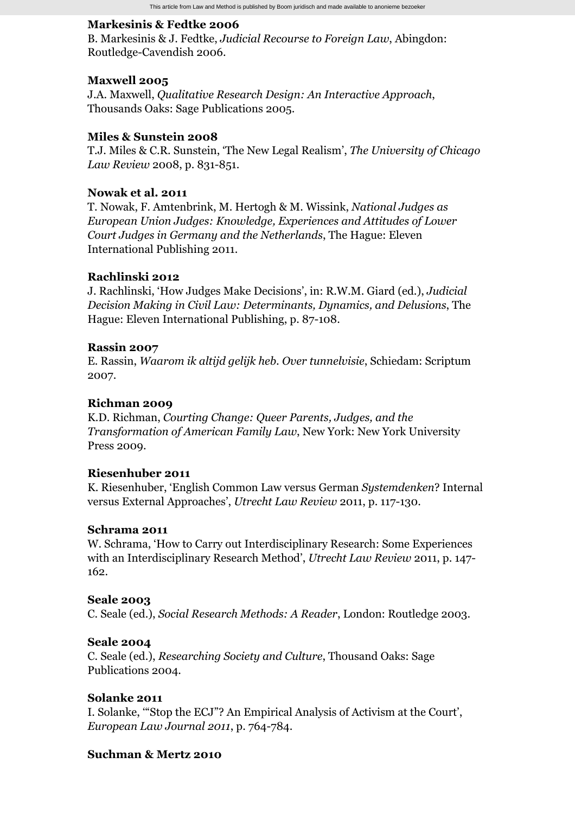#### **Markesinis & Fedtke 2006**

B. Markesinis & J. Fedtke, *Judicial Recourse to Foreign Law*, Abingdon: Routledge-Cavendish 2006.

#### **Maxwell 2005**

J.A. Maxwell, *Qualitative Research Design: An Interactive Approach*, Thousands Oaks: Sage Publications 2005.

#### **Miles & Sunstein 2008**

T.J. Miles & C.R. Sunstein, 'The New Legal Realism', *The University of Chicago Law Review* 2008, p. 831-851.

#### **Nowak et al. 2011**

T. Nowak, F. Amtenbrink, M. Hertogh & M. Wissink, *National Judges as European Union Judges: Knowledge, Experiences and Attitudes of Lower Court Judges in Germany and the Netherlands*, The Hague: Eleven International Publishing 2011.

#### **Rachlinski 2012**

J. Rachlinski, 'How Judges Make Decisions', in: R.W.M. Giard (ed.), *Judicial Decision Making in Civil Law: Determinants, Dynamics, and Delusions*, The Hague: Eleven International Publishing, p. 87-108.

#### **Rassin 2007**

E. Rassin, *Waarom ik altijd gelijk heb. Over tunnelvisie*, Schiedam: Scriptum 2007.

#### **Richman 2009**

K.D. Richman, *Courting Change: Queer Parents, Judges, and the Transformation of American Family Law*, New York: New York University Press 2009.

#### **Riesenhuber 2011**

K. Riesenhuber, 'English Common Law versus German *Systemdenken*? Internal versus External Approaches', *Utrecht Law Review* 2011, p. 117-130.

#### **Schrama 2011**

W. Schrama, 'How to Carry out Interdisciplinary Research: Some Experiences with an Interdisciplinary Research Method', *Utrecht Law Review* 2011, p. 147- 162.

#### **Seale 2003**

C. Seale (ed.), *Social Research Methods: A Reader*, London: Routledge 2003.

#### **Seale 2004**

C. Seale (ed.), *Researching Society and Culture*, Thousand Oaks: Sage Publications 2004.

#### **Solanke 2011**

I. Solanke, '"Stop the ECJ"? An Empirical Analysis of Activism at the Court', *European Law Journal 2011*, p. 764-784.

#### **Suchman & Mertz 2010**